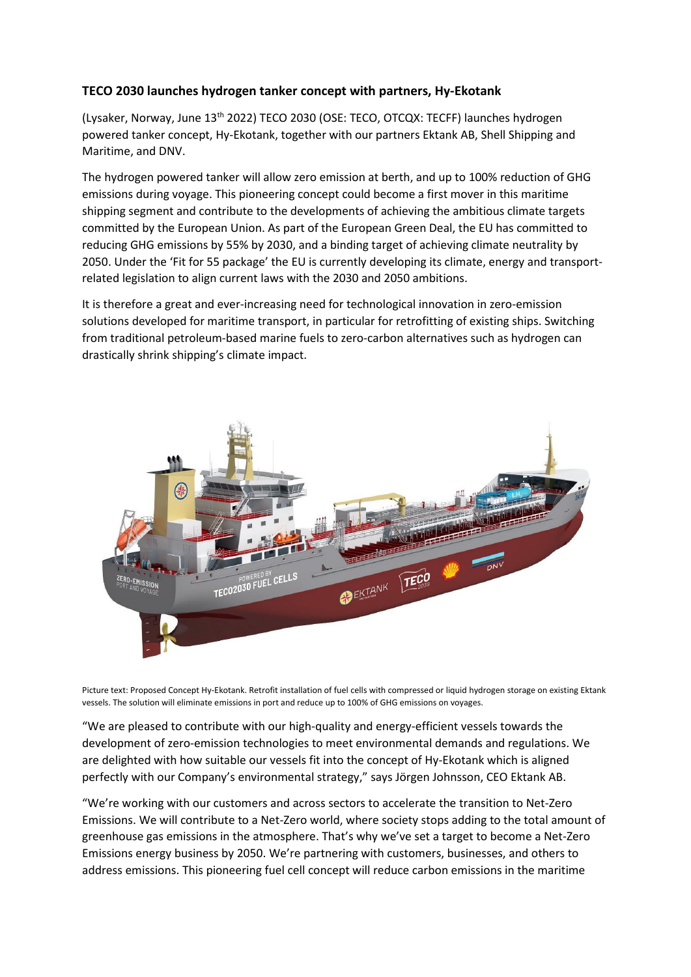## **TECO 2030 launches hydrogen tanker concept with partners, Hy-Ekotank**

(Lysaker, Norway, June 13<sup>th</sup> 2022) TECO 2030 (OSE: TECO, OTCQX: TECFF) launches hydrogen powered tanker concept, Hy-Ekotank, together with our partners Ektank AB, Shell Shipping and Maritime, and DNV.

The hydrogen powered tanker will allow zero emission at berth, and up to 100% reduction of GHG emissions during voyage. This pioneering concept could become a first mover in this maritime shipping segment and contribute to the developments of achieving the ambitious climate targets committed by the European Union. As part of the European Green Deal, the EU has committed to reducing GHG emissions by 55% by 2030, and a binding target of achieving climate neutrality by 2050. Under the 'Fit for 55 package' the EU is currently developing its climate, energy and transportrelated legislation to align current laws with the 2030 and 2050 ambitions.

It is therefore a great and ever-increasing need for technological innovation in zero-emission solutions developed for maritime transport, in particular for retrofitting of existing ships. Switching from traditional petroleum-based marine fuels to zero-carbon alternatives such as hydrogen can drastically shrink shipping's climate impact.



Picture text: Proposed Concept Hy-Ekotank. Retrofit installation of fuel cells with compressed or liquid hydrogen storage on existing Ektank vessels. The solution will eliminate emissions in port and reduce up to 100% of GHG emissions on voyages.

"We are pleased to contribute with our high-quality and energy-efficient vessels towards the development of zero-emission technologies to meet environmental demands and regulations. We are delighted with how suitable our vessels fit into the concept of Hy-Ekotank which is aligned perfectly with our Company's environmental strategy," says Jörgen Johnsson, CEO Ektank AB.

"We're working with our customers and across sectors to accelerate the transition to Net-Zero Emissions. We will contribute to a Net-Zero world, where society stops adding to the total amount of greenhouse gas emissions in the atmosphere. That's why we've set a target to become a Net-Zero Emissions energy business by 2050. We're partnering with customers, businesses, and others to address emissions. This pioneering fuel cell concept will reduce carbon emissions in the maritime